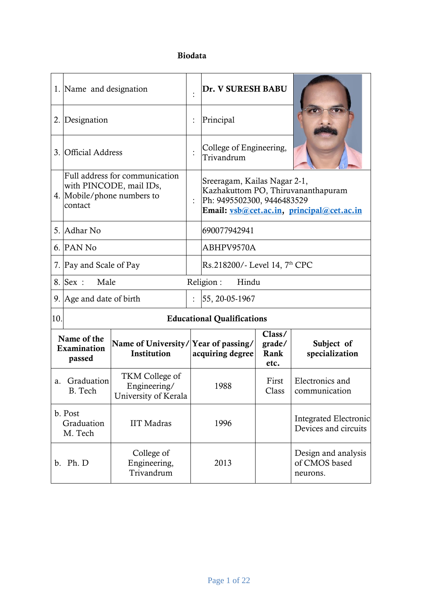## **Biodata**

|     | 1. Name and designation                                                                            |                                                        |                    | Dr. V SURESH BABU                                                                                                                             |                                  |                                                  |
|-----|----------------------------------------------------------------------------------------------------|--------------------------------------------------------|--------------------|-----------------------------------------------------------------------------------------------------------------------------------------------|----------------------------------|--------------------------------------------------|
|     | 2. Designation                                                                                     |                                                        |                    | Principal                                                                                                                                     |                                  |                                                  |
|     | 3. Official Address                                                                                |                                                        |                    | College of Engineering,<br>Trivandrum                                                                                                         |                                  |                                                  |
|     | Full address for communication<br>with PINCODE, mail IDs,<br>4. Mobile/phone numbers to<br>contact |                                                        |                    | Sreeragam, Kailas Nagar 2-1,<br>Kazhakuttom PO, Thiruvananthapuram<br>Ph: 9495502300, 9446483529<br>Email: vsb@cet.ac.in, principal@cet.ac.in |                                  |                                                  |
|     | 5. Adhar No<br>690077942941                                                                        |                                                        |                    |                                                                                                                                               |                                  |                                                  |
|     | 6. PAN No                                                                                          |                                                        |                    | ABHPV9570A                                                                                                                                    |                                  |                                                  |
|     | 7. Pay and Scale of Pay                                                                            |                                                        |                    | Rs.218200/- Level 14, 7 <sup>th</sup> CPC                                                                                                     |                                  |                                                  |
|     | 8. Sex :<br>Male                                                                                   |                                                        | Religion:<br>Hindu |                                                                                                                                               |                                  |                                                  |
|     | 9. Age and date of birth                                                                           |                                                        |                    | 55, 20-05-1967                                                                                                                                |                                  |                                                  |
| 10. |                                                                                                    |                                                        |                    | <b>Educational Qualifications</b>                                                                                                             |                                  |                                                  |
|     | Name of the<br>Examination<br>passed                                                               | Name of University/Year of passing/<br>Institution     |                    | acquiring degree                                                                                                                              | Class/<br>grade/<br>Rank<br>etc. | Subject of<br>specialization                     |
|     | a. Graduation<br>B. Tech                                                                           | TKM College of<br>Engineering/<br>University of Kerala |                    | 1988                                                                                                                                          | First<br>Class                   | Electronics and<br>communication                 |
|     | b. Post<br>Graduation<br>M. Tech                                                                   | <b>IIT</b> Madras                                      |                    | 1996                                                                                                                                          |                                  | Integrated Electronic<br>Devices and circuits    |
|     | b. Ph. D                                                                                           | College of<br>Engineering,<br>Trivandrum               |                    | 2013                                                                                                                                          |                                  | Design and analysis<br>of CMOS based<br>neurons. |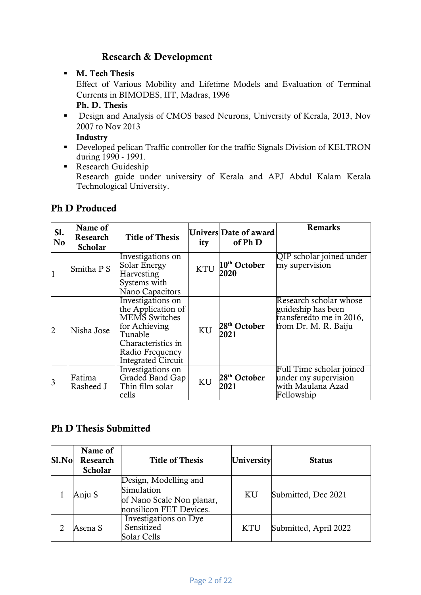# **Research & Development**

- **M. Tech Thesis** Effect of Various Mobility and Lifetime Models and Evaluation of Terminal Currents in BIMODES, IIT, Madras, 1996 **Ph. D. Thesis**
- Design and Analysis of CMOS based Neurons, University of Kerala, 2013, Nov 2007 to Nov 2013

**Industry**

- Developed pelican Traffic controller for the traffic Signals Division of KELTRON during 1990 - 1991.
- Research Guideship Research guide under university of Kerala and APJ Abdul Kalam Kerala Technological University.

# **Ph D Produced**

| S1.<br>N <sub>o</sub> | Name of<br>Research<br><b>Scholar</b> | <b>Title of Thesis</b>                                                                                                                                     | ity        | <b>Univers</b> Date of award<br>of Ph D | <b>Remarks</b>                                                                                   |
|-----------------------|---------------------------------------|------------------------------------------------------------------------------------------------------------------------------------------------------------|------------|-----------------------------------------|--------------------------------------------------------------------------------------------------|
|                       | Smitha P S                            | Investigations on<br>Solar Energy<br>Harvesting<br>Systems with<br>Nano Capacitors                                                                         | <b>KTU</b> | 10 <sup>th</sup> October<br>2020        | QIP scholar joined under<br>my supervision                                                       |
| 2                     | Nisha Jose                            | Investigations on<br>the Application of<br>MEMS Switches<br>for Achieving<br>Tunable<br>Characteristics in<br>Radio Frequency<br><b>Integrated Circuit</b> | <b>KU</b>  | 28 <sup>th</sup> October<br>2021        | Research scholar whose<br>guideship has been<br>transferedto me in 2016,<br>from Dr. M. R. Baiju |
| 3                     | Fatima<br>Rasheed J                   | Investigations on<br>Graded Band Gap<br>Thin film solar<br>cells                                                                                           | KU         | 28 <sup>th</sup> October<br>2021        | Full Time scholar joined<br>under my supervision<br>with Maulana Azad<br>Fellowship              |

# **Ph D Thesis Submitted**

| Sl.No | Name of<br>Research<br><b>Scholar</b> | <b>Title of Thesis</b>                                                                      | University | <b>Status</b>         |
|-------|---------------------------------------|---------------------------------------------------------------------------------------------|------------|-----------------------|
|       | Anju S                                | Design, Modelling and<br>Simulation<br>of Nano Scale Non planar,<br>nonsilicon FET Devices. | KU         | Submitted, Dec 2021   |
|       | Asena S                               | Investigations on Dye<br>Sensitized<br>Solar Cells                                          | <b>KTU</b> | Submitted, April 2022 |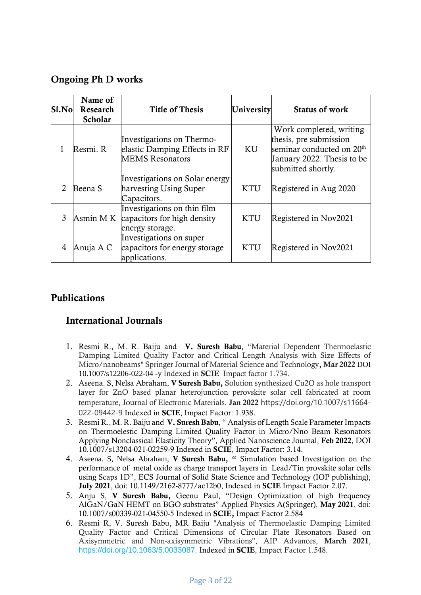## **Ongoing Ph D works**

| Sl.No                       | Name of<br>Research<br><b>Scholar</b> | <b>Title of Thesis</b>                                                               | University | <b>Status of work</b>                                                                                                                          |
|-----------------------------|---------------------------------------|--------------------------------------------------------------------------------------|------------|------------------------------------------------------------------------------------------------------------------------------------------------|
|                             | Resmi. R                              | Investigations on Thermo-<br>elastic Damping Effects in RF<br><b>MEMS</b> Resonators | KU         | Work completed, writing<br>thesis, pre submission<br>seminar conducted on 20 <sup>th</sup><br>January 2022. Thesis to be<br>submitted shortly. |
| $\mathcal{D}_{\mathcal{L}}$ | Beena S                               | Investigations on Solar energy<br>harvesting Using Super<br>Capacitors.              | <b>KTU</b> | Registered in Aug 2020                                                                                                                         |
| 3                           | Asmin M K                             | Investigations on thin film<br>capacitors for high density<br>energy storage.        | <b>KTU</b> | Registered in Nov2021                                                                                                                          |
| 4                           | Anuja A C                             | Investigations on super<br>capacitors for energy storage<br>applications.            | <b>KTU</b> | Registered in Nov2021                                                                                                                          |

# **Publications**

## **International Journals**

- 1. Resmi R., M. R. Baiju and **V. Suresh Babu**, "Material Dependent Thermoelastic Damping Limited Quality Factor and Critical Length Analysis with Size Effects of Micro/nanobeams" Springer Journal of Material Science and Technology**, Mar 2022** DOI 10.1007/s12206-022-04 -y Indexed in **SCIE** Impact factor 1.734.
- 2. Aseena. S, Nelsa Abraham, **V Suresh Babu,** Solution synthesized Cu2O as hole transport layer for ZnO based planar heterojunction perovskite solar cell fabricated at room temperature, Journal of Electronic Materials. **Jan 2022** https://doi.org/10.1007/s11664- 022-09442-9 Indexed in **SCIE**, Impact Factor: 1.938.
- 3. Resmi R., M. R. Baiju and **V. Suresh Babu**, " Analysis of Length Scale Parameter Impacts on Thermoelestic Damping Limited Quality Factor in Micro/Nno Beam Resonators Applying Nonclassical Elasticity Theory", Applied Nanoscience Journal, **Feb 2022**, DOI 10.1007/s13204-021-02259-9 Indexed in **SCIE**, Impact Factor: 3.14.
- 4. Aseena. S, Nelsa Abraham, **V Suresh Babu, "** Simulation based Investigation on the performance of metal oxide as charge transport layers in Lead/Tin provskite solar cells using Scaps 1D", ECS Journal of Solid State Science and Technology (IOP publishing), **July 2021**, doi: 10.1149/2162-8777/ac12b0, Indexed in **SCIE** Impact Factor 2.07.
- 5. Anju S, **V Suresh Babu,** Geenu Paul, "Design Optimization of high frequency AlGaN/GaN HEMT on BGO substrates" Applied Physics A(Springer), **May 2021**, doi: 10.1007/s00339-021-04550-5 Indexed in **SCIE,** Impact Factor 2.584
- 6. Resmi R, V. Suresh Babu, MR Baiju "Analysis of Thermoelastic Damping Limited Quality Factor and Critical Dimensions of Circular Plate Resonators Based on Axisymmetric and Non-axisymmetric Vibrations", AIP Advances, **March 2021**, [https://doi.org/10.1063/5.0033087,](https://doi.org/10.1063/5.0033087) Indexed in **SCIE**, Impact Factor 1.548.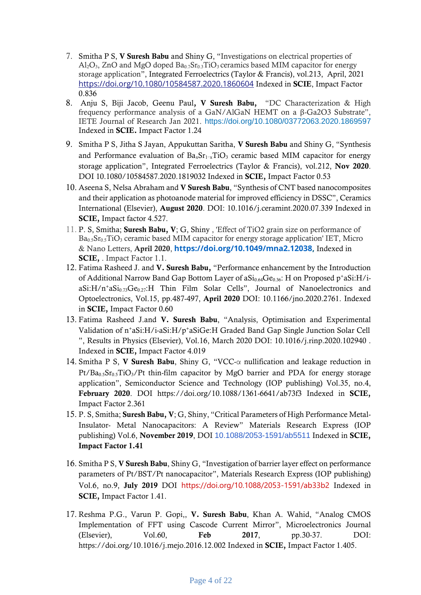- 7. Smitha P S, **V Suresh Babu** and Shiny G, "Investigations on electrical properties of  $A1_2O_3$ , ZnO and MgO doped  $Ba_0.7Sr_0.3TiO_3$  ceramics based MIM capacitor for energy storage application", Integrated Ferroelectrics (Taylor & Francis), vol.213, April, 2021 <https://doi.org/10.1080/10584587.2020.1860604> Indexed in **SCIE**, Impact Factor 0.836
- 8. Anju S, Biji Jacob, Geenu Paul**, V Suresh Babu,** "DC Characterization & High frequency performance analysis of a GaN/AlGaN HEMT on a β-Ga2O3 Substrate", IETE Journal of Research Jan 2021. <https://doi.org/10.1080/03772063.2020.1869597> Indexed in **SCIE.** Impact Factor 1.24
- 9. Smitha P S, Jitha S Jayan, Appukuttan Saritha, **V Suresh Babu** and Shiny G, "Synthesis and Performance evaluation of  $Ba_xSr_{1-x}TiO_3$  ceramic based MIM capacitor for energy storage application", Integrated Ferroelectrics (Taylor & Francis), vol.212, **Nov 2020**. DOI 10.1080/10584587.2020.1819032 Indexed in **SCIE,** Impact Factor 0.53
- 10. Aseena S, Nelsa Abraham and **V Suresh Babu**, "Synthesis of CNT based nanocomposites and their application as photoanode material for improved efficiency in DSSC", Ceramics International (Elsevier), **August 2020**. DOI: 10.1016/j.ceramint.2020.07.339 Indexed in **SCIE,** Impact factor 4.527.
- 11. P. S, Smitha; **Suresh Babu, V**; G, Shiny , 'Effect of TiO2 grain size on performance of Ba<sub>0.5</sub>Sr<sub>0.5</sub>TiO<sub>3</sub> ceramic based MIM capacitor for energy storage application' IET, Micro & Nano Letters, **April 2020**, **[https://doi.org/10.1049/mna2.12038,](https://doi.org/10.1049/mna2.12038)** Indexed in **SCIE,** . Impact Factor 1.1.
- 12. Fatima Rasheed J. and **V. Suresh Babu,** "Performance enhancement by the Introduction of Additional Narrow Band Gap Bottom Layer of aSi<sub>0.64</sub>Ge<sub>0.36</sub>: H on Proposed p<sup>+</sup>aSi:H/i $aSi:H/n+aSi<sub>0.73</sub>Ge<sub>0.27</sub>$ :H Thin Film Solar Cells", Journal of Nanoelectronics and Optoelectronics, Vol.15, pp.487-497, **April 2020** DOI: 10.1166/jno.2020.2761. Indexed in **SCIE,** Impact Factor 0.60
- 13. Fatima Rasheed J.and **V. Suresh Babu**, "Analysis, Optimisation and Experimental Validation of n<sup>+</sup>aSi:H/i-aSi:H/p<sup>+</sup>aSiGe:H Graded Band Gap Single Junction Solar Cell ", Results in Physics (Elsevier), Vol.16, March 2020 DOI: 10.1016/j.rinp.2020.102940 . Indexed in **SCIE,** Impact Factor 4.019
- 14. Smitha P S, **V Suresh Babu**, Shiny G, "VCC-α nullification and leakage reduction in  $Pt/Ba<sub>0.5</sub>Sr<sub>0.5</sub>TiO<sub>3</sub>/Pt$  thin-film capacitor by MgO barrier and PDA for energy storage application", Semiconductor Science and Technology (IOP publishing) Vol.35, no.4, **February 2020**. DOI https://doi.org/10.1088/1361-6641/ab73f3 Indexed in **SCIE,**  Impact Factor 2.361
- 15. P. S, Smitha; **Suresh Babu, V**; G, Shiny, "Critical Parameters of High Performance Metal-Insulator- Metal Nanocapacitors: A Review" Materials Research Express (IOP publishing) Vol.6, **November 2019**, DOI [10.1088/2053-1591/ab5511](https://ui.adsabs.harvard.edu/link_gateway/2019MRE.....6l2003S/doi:10.1088/2053-1591/ab5511) Indexed in **SCIE, Impact Factor 1.41**
- 16. Smitha P S, **V Suresh Babu**, Shiny G, "Investigation of barrier layer effect on performance parameters of Pt/BST/Pt nanocapacitor", Materials Research Express (IOP publishing) Vol.6, no.9, **July 2019** DOI <https://doi.org/10.1088/2053-1591/ab33b2> Indexed in **SCIE,** Impact Factor 1.41.
- 17. Reshma P.G., Varun P. Gopi,, **V. Suresh Babu**, Khan A. Wahid, "Analog CMOS Implementation of FFT using Cascode Current Mirror", Microelectronics Journal (Elsevier), Vol.60, **Feb 2017**, pp.30-37. DOI: https://doi.org/10.1016/j.mejo.2016.12.002 Indexed in **SCIE,** Impact Factor 1.405.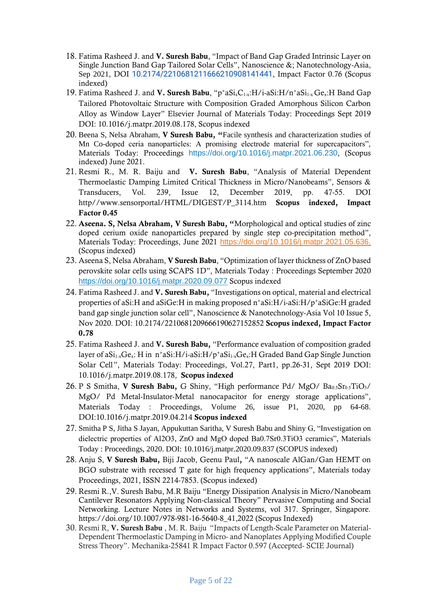- 18. Fatima Rasheed J. and **V. Suresh Babu**, "Impact of Band Gap Graded Intrinsic Layer on Single Junction Band Gap Tailored Solar Cells", Nanoscience &; Nanotechnology-Asia, Sep 2021, DOI [10.2174/2210681211666210908141441](http://dx.doi.org/10.2174/2210681211666210908141441), Impact Factor 0.76 (Scopus indexed)
- 19. Fatima Rasheed J. and **V. Suresh Babu**, "p<sup>+</sup>aSi<sub>x</sub>C<sub>1-x</sub>:H/i-aSi:H/n<sup>+</sup>aSi<sub>1-x</sub> Ge<sub>x</sub>:H Band Gap Tailored Photovoltaic Structure with Composition Graded Amorphous Silicon Carbon Alloy as Window Layer" Elsevier Journal of Materials Today: Proceedings Sept 2019 DOI: 10.1016/j.matpr.2019.08.178, Scopus indexed
- 20. Beena S, Nelsa Abraham, **V Suresh Babu, "**Facile synthesis and characterization studies of Mn Co-doped ceria nanoparticles: A promising electrode material for supercapacitors", Materials Today: Proceedings <https://doi.org/10.1016/j.matpr.2021.06.230>, (Scopus indexed) June 2021.
- 21. Resmi R., M. R. Baiju and **V. Suresh Babu**, "Analysis of Material Dependent Thermoelastic Damping Limited Critical Thickness in Micro/Nanobeams", Sensors & Transducers, Vol. 239, Issue 12, December 2019, pp. 47-55. DOI http//www.sensorportal/HTML/DIGEST/P\_3114.htm **Scopus indexed, Impact Factor 0.45**
- 22. **Aseena. S, Nelsa Abraham, V Suresh Babu, "**Morphological and optical studies of zinc doped cerium oxide nanoparticles prepared by single step co-precipitation method", Materials Today: Proceedings, June 2021 [https://doi.org/10.1016/j.matpr.2021.05.636,](https://doi.org/10.1016/j.matpr.2021.05.636) (Scopus indexed)
- 23. Aseena S, Nelsa Abraham, **V Suresh Babu**, "Optimization of layer thickness of ZnO based perovskite solar cells using SCAPS 1D", Materials Today : Proceedings September 2020 <https://doi.org/10.1016/j.matpr.2020.09.077> Scopus indexed
- 24. Fatima Rasheed J. and **V. Suresh Babu,** "Investigations on optical, material and electrical properties of aSi:H and aSiGe:H in making proposed n<sup>+</sup>aSi:H/i-aSi:H/p<sup>+</sup>aSiGe:H graded band gap single junction solar cell", Nanoscience & Nanotechnology-Asia Vol 10 Issue 5, Nov 2020. DOI: 10.2174/2210681209666190627152852 **Scopus indexed, Impact Factor 0.78**
- 25. Fatima Rasheed J. and **V. Suresh Babu,** "Performance evaluation of composition graded layer of a $Si_{1-x}Ge_x$ : H in n<sup>+</sup>aSi:H/i-aSi:H/p<sup>+</sup>aSi<sub>1-x</sub>Ge<sub>x</sub>:H Graded Band Gap Single Junction Solar Cell", Materials Today: Proceedings, Vol.27, Part1, pp.26-31, Sept 2019 [DOI:](https://doi.org/10.1016/j.matpr.2019.08.178)  [10.1016/j.matpr.2019.08.178,](https://doi.org/10.1016/j.matpr.2019.08.178) **Scopus indexed**
- 26. P S Smitha, **V Suresh Babu,** G Shiny, "High performance Pd/ MgO/ Ba<sub>0.5</sub>Sr<sub>0.5</sub>TiO<sub>3</sub>/ MgO/ Pd Metal-Insulator-Metal nanocapacitor for energy storage applications", Materials Today : Proceedings, Volume 26, issue P1, 2020, pp 64-68. DOI:10.1016/j.matpr.2019.04.214 **Scopus indexed**
- 27. Smitha P S, Jitha S Jayan, Appukuttan Saritha, V Suresh Babu and Shiny G, "Investigation on dielectric properties of Al2O3, ZnO and MgO doped Ba0.7Sr0.3TiO3 ceramics", Materials Today : Proceedings, 2020. DOI: 10.1016/j.matpr.2020.09.837 (SCOPUS indexed)
- 28. Anju S, **V Suresh Babu,** Biji Jacob, Geenu Paul**,** "A nanoscale AlGan/Gan HEMT on BGO substrate with recessed T gate for high frequency applications", Materials today Proceedings, 2021, ISSN 2214-7853. (Scopus indexed)
- 29. Resmi R.,V. Suresh Babu, M.R Baiju "Energy Dissipation Analysis in Micro/Nanobeam Cantilever Resonators Applying Non-classical Theory" Pervasive Computing and Social Networking. Lecture Notes in Networks and Systems, vol 317. Springer, Singapore. https://doi.org/10.1007/978-981-16-5640-8\_41,2022 (Scopus Indexed)
- 30. Resmi R, **V. Suresh Babu** , M. R. Baiju "Impacts of Length-Scale Parameter on Material-Dependent Thermoelastic Damping in Micro- and Nanoplates Applying Modified Couple Stress Theory". Mechanika-25841 R Impact Factor 0.597 (Accepted- SCIE Journal)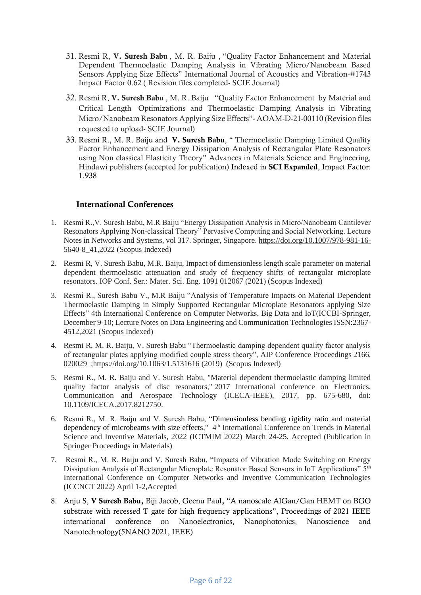- 31. Resmi R, **V. Suresh Babu** , M. R. Baiju , "Quality Factor Enhancement and Material Dependent Thermoelastic Damping Analysis in Vibrating Micro/Nanobeam Based Sensors Applying Size Effects" International Journal of Acoustics and Vibration-#1743 Impact Factor 0.62 ( Revision files completed- SCIE Journal)
- 32. Resmi R, **V. Suresh Babu** , M. R. Baiju "Quality Factor Enhancement by Material and Critical Length Optimizations and Thermoelastic Damping Analysis in Vibrating Micro/Nanobeam Resonators Applying Size Effects"- AOAM-D-21-00110 (Revision files requested to upload- SCIE Journal)
- 33. Resmi R., M. R. Baiju and **V. Suresh Babu**, " Thermoelastic Damping Limited Quality Factor Enhancement and Energy Dissipation Analysis of Rectangular Plate Resonators using Non classical Elasticity Theory" Advances in Materials Science and Engineering, Hindawi publishers (accepted for publication) Indexed in **SCI Expanded**, Impact Factor: 1.938

#### **International Conferences**

- 1. Resmi R.,V. Suresh Babu, M.R Baiju "Energy Dissipation Analysis in Micro/Nanobeam Cantilever Resonators Applying Non-classical Theory" Pervasive Computing and Social Networking. Lecture Notes in Networks and Systems, vol 317. Springer, Singapore[. https://doi.org/10.1007/978-981-16-](https://doi.org/10.1007/978-981-16-5640-8_41) [5640-8\\_41,](https://doi.org/10.1007/978-981-16-5640-8_41)2022 (Scopus Indexed)
- 2. Resmi R, V. Suresh Babu, M.R. Baiju, Impact of dimensionless length scale parameter on material dependent thermoelastic attenuation and study of frequency shifts of rectangular microplate resonators. IOP Conf. Ser.: Mater. Sci. Eng. 1091 012067 (2021) (Scopus Indexed)
- 3. Resmi R., Suresh Babu V., M.R Baiju "Analysis of Temperature Impacts on Material Dependent Thermoelastic Damping in Simply Supported Rectangular Microplate Resonators applying Size Effects" 4th International Conference on Computer Networks, Big Data and IoT(ICCBI-Springer, December 9-10; Lecture Notes on Data Engineering and Communication Technologies ISSN:2367- 4512,2021 (Scopus Indexed)
- 4. Resmi R, M. R. Baiju, V. Suresh Babu "Thermoelastic damping dependent quality factor analysis of rectangular plates applying modified couple stress theory", AIP Conference Proceedings 2166, 020029 [;https://doi.org/10.1063/1.5131616](https://doi.org/10.1063/1.5131616) (2019) (Scopus Indexed)
- 5. Resmi R., M. R. Baiju and V. Suresh Babu, "Material dependent thermoelastic damping limited quality factor analysis of disc resonators," 2017 International conference on Electronics, Communication and Aerospace Technology (ICECA-IEEE), 2017, pp. 675-680, doi: 10.1109/ICECA.2017.8212750.
- 6. Resmi R., M. R. Baiju and V. Suresh Babu, "Dimensionless bending rigidity ratio and material dependency of microbeams with size effects," 4<sup>th</sup> International Conference on Trends in Material Science and Inventive Materials, 2022 (ICTMIM 2022) March 24-25, Accepted (Publication in Springer Proceedings in Materials)
- 7. Resmi R., M. R. Baiju and V. Suresh Babu, "Impacts of Vibration Mode Switching on Energy Dissipation Analysis of Rectangular Microplate Resonator Based Sensors in IoT Applications" 5<sup>th</sup> International Conference on Computer Networks and Inventive Communication Technologies (ICCNCT 2022) April 1-2,Accepted
- 8. Anju S, **V Suresh Babu,** Biji Jacob, Geenu Paul**,** "A nanoscale AlGan/Gan HEMT on BGO substrate with recessed T gate for high frequency applications", Proceedings of 2021 IEEE international conference on Nanoelectronics, Nanophotonics, Nanoscience and Nanotechnology(5NANO 2021, IEEE)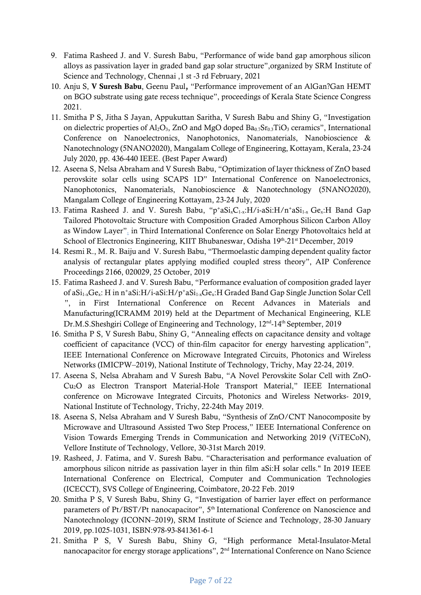- 9. Fatima Rasheed J. and V. Suresh Babu, "Performance of wide band gap amorphous silicon alloys as passivation layer in graded band gap solar structure",organized by SRM Institute of Science and Technology, Chennai ,1 st -3 rd February, 2021
- 10. Anju S, **V Suresh Babu**, Geenu Paul**,** "Performance improvement of an AlGan?Gan HEMT on BGO substrate using gate recess technique", proceedings of Kerala State Science Congress 2021.
- 11. Smitha P S, Jitha S Jayan, Appukuttan Saritha, V Suresh Babu and Shiny G, "Investigation on dielectric properties of Al<sub>2</sub>O<sub>3</sub>, ZnO and MgO doped Ba<sub>0.7</sub>Sr<sub>0.3</sub>TiO<sub>3</sub> ceramics", International Conference on Nanoelectronics, Nanophotonics, Nanomaterials, Nanobioscience & Nanotechnology (5NANO2020), Mangalam College of Engineering, Kottayam, Kerala, 23-24 July 2020, pp. 436-440 IEEE. (Best Paper Award)
- 12. Aseena S, Nelsa Abraham and V Suresh Babu, "Optimization of layer thickness of ZnO based perovskite solar cells using SCAPS 1D" International Conference on Nanoelectronics, Nanophotonics, Nanomaterials, Nanobioscience & Nanotechnology (5NANO2020), Mangalam College of Engineering Kottayam, 23-24 July, 2020
- 13. Fatima Rasheed J. and V. Suresh Babu, " $p^+aSi_xC_{1-x}H/i-aSi_1H/n^+aSi_{1-x}Ge_xH$  Band Gap Tailored Photovoltaic Structure with Composition Graded Amorphous Silicon Carbon Alloy as Window Layer". in Third International Conference on Solar Energy Photovoltaics held at School of Electronics Engineering, KIIT Bhubaneswar, Odisha 19th-21st December, 2019
- 14. Resmi R., M. R. Baiju and V. Suresh Babu, "Thermoelastic damping dependent quality factor analysis of rectangular plates applying modified coupled stress theory", AIP Conference Proceedings 2166, 020029, 25 October, 2019
- 15. Fatima Rasheed J. and V. Suresh Babu, "Performance evaluation of composition graded layer of aSi<sub>1-x</sub>Ge<sub>x</sub>: H in n<sup>+</sup>aSi:H/i-aSi:H/p<sup>+</sup>aSi<sub>1-x</sub>Ge<sub>x</sub>:H Graded Band Gap Single Junction Solar Cell ", in First International Conference on Recent Advances in Materials and Manufacturing(ICRAMM 2019) held at the Department of Mechanical Engineering, KLE Dr.M.S.Sheshgiri College of Engineering and Technology, 12<sup>nd</sup>-14<sup>th</sup> September, 2019
- 16. Smitha P S, V Suresh Babu, Shiny G, "Annealing effects on capacitance density and voltage coefficient of capacitance (VCC) of thin-film capacitor for energy harvesting application", IEEE International Conference on Microwave Integrated Circuits, Photonics and Wireless Networks (IMICPW–2019), National Institute of Technology, Trichy, May 22-24, 2019.
- 17. Aseena S, Nelsa Abraham and V Suresh Babu, "A Novel Perovskite Solar Cell with ZnO-Cu2O as Electron Transport Material-Hole Transport Material," IEEE International conference on Microwave Integrated Circuits, Photonics and Wireless Networks- 2019, National Institute of Technology, Trichy, 22-24th May 2019.
- 18. Aseena S, Nelsa Abraham and V Suresh Babu, "Synthesis of ZnO/CNT Nanocomposite by Microwave and Ultrasound Assisted Two Step Process," IEEE International Conference on Vision Towards Emerging Trends in Communication and Networking 2019 (ViTECoN), Vellore Institute of Technology, Vellore, 30-31st March 2019.
- 19. Rasheed, J. Fatima, and V. Suresh Babu. "Characterisation and performance evaluation of amorphous silicon nitride as passivation layer in thin film aSi:H solar cells." In 2019 IEEE International Conference on Electrical, Computer and Communication Technologies (ICECCT), SVS College of Engineering, Coimbatore, 20-22 Feb. 2019
- 20. Smitha P S, V Suresh Babu, Shiny G, "Investigation of barrier layer effect on performance parameters of Pt/BST/Pt nanocapacitor", 5<sup>th</sup> International Conference on Nanoscience and Nanotechnology (ICONN–2019), SRM Institute of Science and Technology, 28-30 January 2019, pp.1025-1031, ISBN:978-93-841361-6-1
- 21. Smitha P S, V Suresh Babu, Shiny G, "High performance Metal-Insulator-Metal nanocapacitor for energy storage applications", 2<sup>nd</sup> International Conference on Nano Science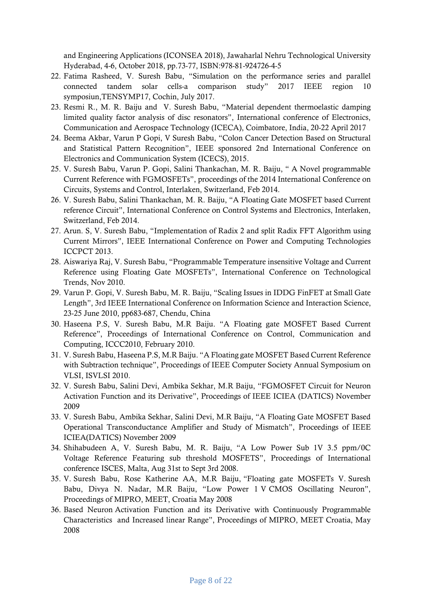and Engineering Applications (ICONSEA 2018), Jawaharlal Nehru Technological University Hyderabad, 4-6, October 2018, pp.73-77, ISBN:978-81-924726-4-5

- 22. Fatima Rasheed, V. Suresh Babu, "Simulation on the performance series and parallel connected tandem solar cells-a comparison study" 2017 IEEE region 10 symposiun,TENSYMP17, Cochin, July 2017.
- 23. Resmi R., M. R. Baiju and V. Suresh Babu, "Material dependent thermoelastic damping limited quality factor analysis of disc resonators", International conference of Electronics, Communication and Aerospace Technology (ICECA), Coimbatore, India, 20-22 April 2017
- 24. Beema Akbar, Varun P Gopi, V Suresh Babu, "Colon Cancer Detection Based on Structural and Statistical Pattern Recognition", IEEE sponsored 2nd International Conference on Electronics and Communication System (ICECS), 2015.
- 25. V. Suresh Babu, Varun P. Gopi, Salini Thankachan, M. R. Baiju, " A Novel programmable Current Reference with FGMOSFETs", proceedings of the 2014 International Conference on Circuits, Systems and Control, Interlaken, Switzerland, Feb 2014.
- 26. V. Suresh Babu, Salini Thankachan, M. R. Baiju, "A Floating Gate MOSFET based Current reference Circuit", International Conference on Control Systems and Electronics, Interlaken, Switzerland, Feb 2014.
- 27. Arun. S, V. Suresh Babu, "Implementation of Radix 2 and split Radix FFT Algorithm using Current Mirrors", IEEE International Conference on Power and Computing Technologies ICCPCT 2013.
- 28. Aiswariya Raj, V. Suresh Babu, "Programmable Temperature insensitive Voltage and Current Reference using Floating Gate MOSFETs", International Conference on Technological Trends, Nov 2010.
- 29. Varun P. Gopi, V. Suresh Babu, M. R. Baiju, "Scaling Issues in IDDG FinFET at Small Gate Length", 3rd IEEE International Conference on Information Science and Interaction Science, 23-25 June 2010, pp683-687, Chendu, China
- 30. Haseena P.S, V. Suresh Babu, M.R Baiju. "A Floating gate MOSFET Based Current Reference", Proceedings of International Conference on Control, Communication and Computing, ICCC2010, February 2010.
- 31. V. Suresh Babu, Haseena P.S, M.R Baiju. "A Floating gate MOSFET Based Current Reference with Subtraction technique", Proceedings of IEEE Computer Society Annual Symposium on VLSI, ISVLSI 2010.
- 32. V. Suresh Babu, Salini Devi, Ambika Sekhar, M.R Baiju, "FGMOSFET Circuit for Neuron Activation Function and its Derivative", Proceedings of IEEE ICIEA (DATICS) November 2009
- 33. V. Suresh Babu, Ambika Sekhar, Salini Devi, M.R Baiju, "A Floating Gate MOSFET Based Operational Transconductance Amplifier and Study of Mismatch", Proceedings of IEEE ICIEA(DATICS) November 2009
- 34. Shihabudeen A, V. Suresh Babu, M. R. Baiju, "A Low Power Sub 1V 3.5 ppm/0C Voltage Reference Featuring sub threshold MOSFETS", Proceedings of International conference ISCES, Malta, Aug 31st to Sept 3rd 2008.
- 35. V. Suresh Babu, Rose Katherine AA, M.R Baiju, "Floating gate MOSFETs V. Suresh Babu, Divya N. Nadar, M.R Baiju, "Low Power 1 V CMOS Oscillating Neuron", Proceedings of MIPRO, MEET, Croatia May 2008
- 36. Based Neuron Activation Function and its Derivative with Continuously Programmable Characteristics and Increased linear Range", Proceedings of MIPRO, MEET Croatia, May 2008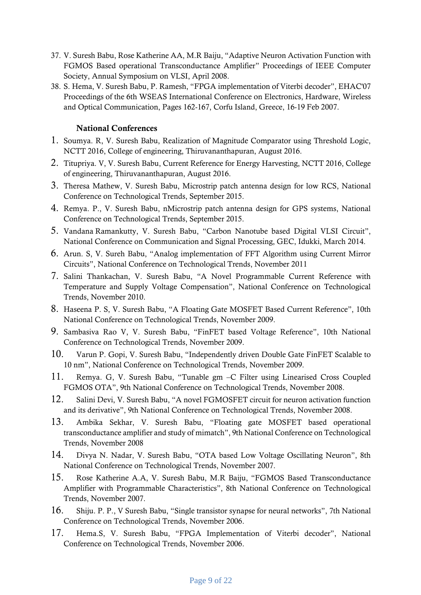- 37. V. Suresh Babu, Rose Katherine AA, M.R Baiju, "Adaptive Neuron Activation Function with FGMOS Based operational Transconductance Amplifier" Proceedings of IEEE Computer Society, Annual Symposium on VLSI, April 2008.
- 38. S. Hema, V. Suresh Babu, P. Ramesh, "FPGA implementation of Viterbi decoder", EHAC'07 Proceedings of the 6th WSEAS International Conference on Electronics, Hardware, Wireless and Optical Communication, Pages 162-167, Corfu Island, Greece, 16-19 Feb 2007.

#### **National Conferences**

- 1. Soumya. R, V. Suresh Babu, Realization of Magnitude Comparator using Threshold Logic, NCTT 2016, College of engineering, Thiruvananthapuran, August 2016.
- 2. Titupriya. V, V. Suresh Babu, Current Reference for Energy Harvesting, NCTT 2016, College of engineering, Thiruvananthapuran, August 2016.
- 3. Theresa Mathew, V. Suresh Babu, Microstrip patch antenna design for low RCS, National Conference on Technological Trends, September 2015.
- 4. Remya. P., V. Suresh Babu, nMicrostrip patch antenna design for GPS systems, National Conference on Technological Trends, September 2015.
- 5. Vandana Ramankutty, V. Suresh Babu, "Carbon Nanotube based Digital VLSI Circuit", National Conference on Communication and Signal Processing, GEC, Idukki, March 2014.
- 6. Arun. S, V. Sureh Babu, "Analog implementation of FFT Algorithm using Current Mirror Circuits", National Conference on Technological Trends, November 2011
- 7. Salini Thankachan, V. Suresh Babu, "A Novel Programmable Current Reference with Temperature and Supply Voltage Compensation", National Conference on Technological Trends, November 2010.
- 8. Haseena P. S, V. Suresh Babu, "A Floating Gate MOSFET Based Current Reference", 10th National Conference on Technological Trends, November 2009.
- 9. Sambasiva Rao V, V. Suresh Babu, "FinFET based Voltage Reference", 10th National Conference on Technological Trends, November 2009.
- 10. Varun P. Gopi, V. Suresh Babu, "Independently driven Double Gate FinFET Scalable to 10 nm", National Conference on Technological Trends, November 2009.
- 11. Remya. G, V. Suresh Babu, "Tunable gm –C Filter using Linearised Cross Coupled FGMOS OTA", 9th National Conference on Technological Trends, November 2008.
- 12. Salini Devi, V. Suresh Babu, "A novel FGMOSFET circuit for neuron activation function and its derivative", 9th National Conference on Technological Trends, November 2008.
- 13. Ambika Sekhar, V. Suresh Babu, "Floating gate MOSFET based operational transconductance amplifier and study of mimatch", 9th National Conference on Technological Trends, November 2008
- 14. Divya N. Nadar, V. Suresh Babu, "OTA based Low Voltage Oscillating Neuron", 8th National Conference on Technological Trends, November 2007.
- 15. Rose Katherine A.A, V. Suresh Babu, M.R Baiju, "FGMOS Based Transconductance Amplifier with Programmable Characteristics", 8th National Conference on Technological Trends, November 2007.
- 16. Shiju. P. P., V Suresh Babu, "Single transistor synapse for neural networks", 7th National Conference on Technological Trends, November 2006.
- 17. Hema.S, V. Suresh Babu, "FPGA Implementation of Viterbi decoder", National Conference on Technological Trends, November 2006.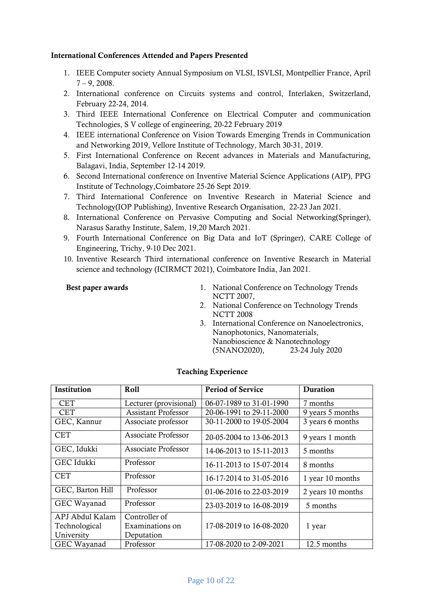#### **International Conferences Attended and Papers Presented**

- 1. IEEE Computer society Annual Symposium on VLSI, ISVLSI, Montpellier France, April  $7 - 9$ , 2008.
- 2. International conference on Circuits systems and control, Interlaken, Switzerland, February 22-24, 2014.
- 3. Third IEEE International Conference on Electrical Computer and communication Technologies, S V college of engineering, 20-22 February 2019
- 4. IEEE international Conference on Vision Towards Emerging Trends in Communication and Networking 2019, Vellore Institute of Technology, March 30-31, 2019.
- 5. First International Conference on Recent advances in Materials and Manufacturing, Balagavi, India, September 12-14 2019.
- 6. Second International conference on Inventive Material Science Applications (AIP), PPG Institute of Technology,Coimbatore 25-26 Sept 2019.
- 7. Third International Conference on Inventive Research in Material Science and Technology(IOP Publishing), Inventive Research Organisation, 22-23 Jan 2021.
- 8. International Conference on Pervasive Computing and Social Networking(Springer), Narasus Sarathy Institute, Salem, 19,20 March 2021.
- 9. Fourth International Conference on Big Data and IoT (Springer), CARE College of Engineering, Trichy, 9-10 Dec 2021.
- 10. Inventive Research Third international conference on Inventive Research in Material science and technology (ICIRMCT 2021), Coimbatore India, Jan 2021.

- **Best paper awards** 1. National Conference on Technology Trends NCTT 2007,
	- 2. National Conference on Technology Trends NCTT 2008
	- 3. International Conference on Nanoelectronics, Nanophotonics, Nanomaterials, Nanobioscience & Nanotechnology (5NANO2020), 23-24 July 2020

#### **Teaching Experience**

| Institution      | Roll                       | <b>Period of Service</b> | <b>Duration</b>   |
|------------------|----------------------------|--------------------------|-------------------|
| <b>CET</b>       | Lecturer (provisional)     | 06-07-1989 to 31-01-1990 | 7 months          |
| <b>CET</b>       | <b>Assistant Professor</b> | 20-06-1991 to 29-11-2000 | 9 years 5 months  |
| GEC, Kannur      | Associate professor        | 30-11-2000 to 19-05-2004 | 3 years 6 months  |
| <b>CET</b>       | <b>Associate Professor</b> | 20-05-2004 to 13-06-2013 | 9 years 1 month   |
| GEC, Idukki      | Associate Professor        | 14-06-2013 to 15-11-2013 | 5 months          |
| GEC Idukki       | Professor                  | 16-11-2013 to 15-07-2014 | 8 months          |
| <b>CET</b>       | Professor                  | 16-17-2014 to 31-05-2016 | 1 year 10 months  |
| GEC, Barton Hill | Professor                  | 01-06-2016 to 22-03-2019 | 2 years 10 months |
| GEC Wayanad      | Professor                  | 23-03-2019 to 16-08-2019 | 5 months          |
| APJ Abdul Kalam  | Controller of              |                          |                   |
| Technological    | Examinations on            | 17-08-2019 to 16-08-2020 | 1 year            |
| University       | Deputation                 |                          |                   |
| GEC Wayanad      | Professor                  | 17-08-2020 to 2-09-2021  | 12.5 months       |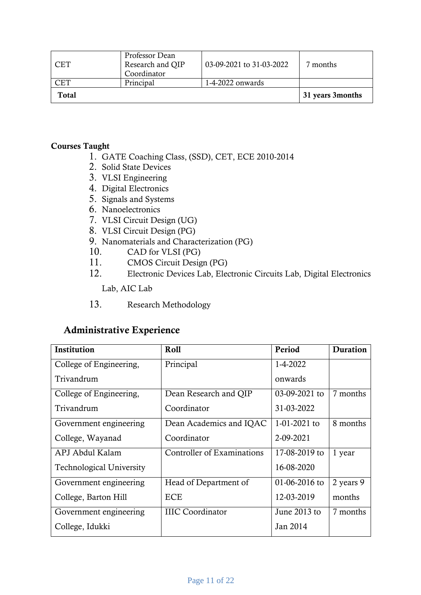| CET          | Professor Dean<br>Research and QIP<br>Coordinator | 03-09-2021 to 31-03-2022 | months?           |
|--------------|---------------------------------------------------|--------------------------|-------------------|
| $\lnot$ F.T  | Principal                                         | 1-4-2022 onwards         |                   |
| <b>Total</b> |                                                   |                          | 31 years 3 months |

#### **Courses Taught**

- 1. GATE Coaching Class, (SSD), CET, ECE 2010-2014
- 2. Solid State Devices
- 3. VLSI Engineering
- 4. Digital Electronics
- 5. Signals and Systems
- 6. Nanoelectronics
- 7. VLSI Circuit Design (UG)
- 8. VLSI Circuit Design (PG)
- 9. Nanomaterials and Characterization (PG)
- 10. CAD for VLSI (PG)
- 11. CMOS Circuit Design (PG)
- 12. Electronic Devices Lab, Electronic Circuits Lab, Digital Electronics

Lab, AIC Lab

13. Research Methodology

## **Administrative Experience**

| Institution                     | Roll                              | Period         | Duration  |
|---------------------------------|-----------------------------------|----------------|-----------|
| College of Engineering,         | Principal                         | 1-4-2022       |           |
| Trivandrum                      |                                   | onwards        |           |
| College of Engineering,         | Dean Research and QIP             | 03-09-2021 to  | 7 months  |
| Trivandrum                      | Coordinator                       | 31-03-2022     |           |
| Government engineering          | Dean Academics and IQAC           | $1-01-2021$ to | 8 months  |
| College, Wayanad                | Coordinator                       | 2-09-2021      |           |
| APJ Abdul Kalam                 | <b>Controller of Examinations</b> | 17-08-2019 to  | 1 year    |
| <b>Technological University</b> |                                   | 16-08-2020     |           |
| Government engineering          | Head of Department of             | 01-06-2016 to  | 2 years 9 |
| College, Barton Hill            | ECE                               | 12-03-2019     | months    |
| Government engineering          | <b>IIIC</b> Coordinator           | June 2013 to   | 7 months  |
| College, Idukki                 |                                   | Jan 2014       |           |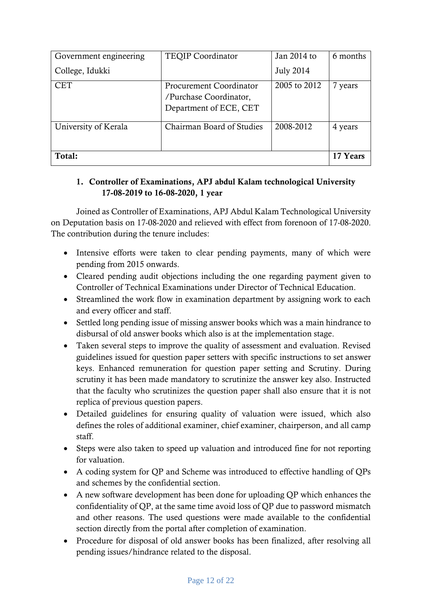| Government engineering | <b>TEQIP Coordinator</b>                                                           | Jan 2014 to      | 6 months |
|------------------------|------------------------------------------------------------------------------------|------------------|----------|
| College, Idukki        |                                                                                    | <b>July 2014</b> |          |
| <b>CET</b>             | <b>Procurement Coordinator</b><br>/Purchase Coordinator,<br>Department of ECE, CET | 2005 to 2012     | 7 years  |
| University of Kerala   | Chairman Board of Studies                                                          | 2008-2012        | 4 years  |
| Total:                 |                                                                                    |                  | 17 Years |

## **1. Controller of Examinations, APJ abdul Kalam technological University 17-08-2019 to 16-08-2020, 1 year**

Joined as Controller of Examinations, APJ Abdul Kalam Technological University on Deputation basis on 17-08-2020 and relieved with effect from forenoon of 17-08-2020. The contribution during the tenure includes:

- Intensive efforts were taken to clear pending payments, many of which were pending from 2015 onwards.
- Cleared pending audit objections including the one regarding payment given to Controller of Technical Examinations under Director of Technical Education.
- Streamlined the work flow in examination department by assigning work to each and every officer and staff.
- Settled long pending issue of missing answer books which was a main hindrance to disbursal of old answer books which also is at the implementation stage.
- Taken several steps to improve the quality of assessment and evaluation. Revised guidelines issued for question paper setters with specific instructions to set answer keys. Enhanced remuneration for question paper setting and Scrutiny. During scrutiny it has been made mandatory to scrutinize the answer key also. Instructed that the faculty who scrutinizes the question paper shall also ensure that it is not replica of previous question papers.
- Detailed guidelines for ensuring quality of valuation were issued, which also defines the roles of additional examiner, chief examiner, chairperson, and all camp staff.
- Steps were also taken to speed up valuation and introduced fine for not reporting for valuation.
- A coding system for QP and Scheme was introduced to effective handling of QPs and schemes by the confidential section.
- A new software development has been done for uploading QP which enhances the confidentiality of QP, at the same time avoid loss of QP due to password mismatch and other reasons. The used questions were made available to the confidential section directly from the portal after completion of examination.
- Procedure for disposal of old answer books has been finalized, after resolving all pending issues/hindrance related to the disposal.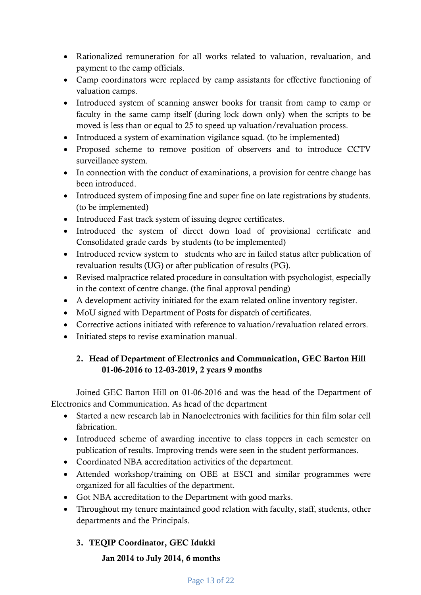- Rationalized remuneration for all works related to valuation, revaluation, and payment to the camp officials.
- Camp coordinators were replaced by camp assistants for effective functioning of valuation camps.
- Introduced system of scanning answer books for transit from camp to camp or faculty in the same camp itself (during lock down only) when the scripts to be moved is less than or equal to 25 to speed up valuation/revaluation process.
- Introduced a system of examination vigilance squad. (to be implemented)
- Proposed scheme to remove position of observers and to introduce CCTV surveillance system.
- In connection with the conduct of examinations, a provision for centre change has been introduced.
- Introduced system of imposing fine and super fine on late registrations by students. (to be implemented)
- Introduced Fast track system of issuing degree certificates.
- Introduced the system of direct down load of provisional certificate and Consolidated grade cards by students (to be implemented)
- Introduced review system to students who are in failed status after publication of revaluation results (UG) or after publication of results (PG).
- Revised malpractice related procedure in consultation with psychologist, especially in the context of centre change. (the final approval pending)
- A development activity initiated for the exam related online inventory register.
- MoU signed with Department of Posts for dispatch of certificates.
- Corrective actions initiated with reference to valuation/revaluation related errors.
- Initiated steps to revise examination manual.

## **2. Head of Department of Electronics and Communication, GEC Barton Hill 01-06-2016 to 12-03-2019, 2 years 9 months**

Joined GEC Barton Hill on 01-06-2016 and was the head of the Department of Electronics and Communication. As head of the department

- Started a new research lab in Nanoelectronics with facilities for thin film solar cell fabrication.
- Introduced scheme of awarding incentive to class toppers in each semester on publication of results. Improving trends were seen in the student performances.
- Coordinated NBA accreditation activities of the department.
- Attended workshop/training on OBE at ESCI and similar programmes were organized for all faculties of the department.
- Got NBA accreditation to the Department with good marks.
- Throughout my tenure maintained good relation with faculty, staff, students, other departments and the Principals.

## **3. TEQIP Coordinator, GEC Idukki**

## **Jan 2014 to July 2014, 6 months**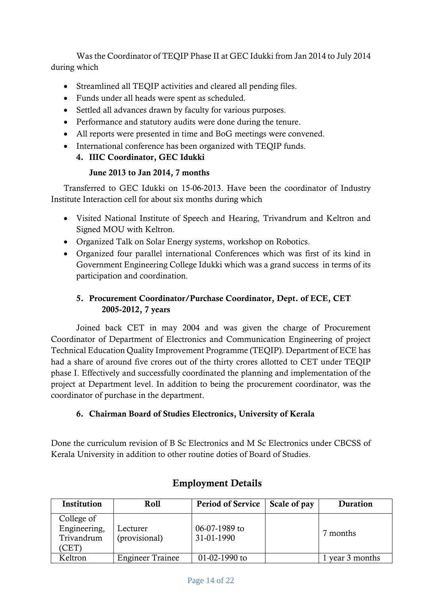Was the Coordinator of TEQIP Phase II at GEC Idukki from Jan 2014 to July 2014 during which

- Streamlined all TEQIP activities and cleared all pending files.
- Funds under all heads were spent as scheduled.
- Settled all advances drawn by faculty for various purposes.
- Performance and statutory audits were done during the tenure.
- All reports were presented in time and BoG meetings were convened.
- International conference has been organized with TEQIP funds.

## **4. IIIC Coordinator, GEC Idukki**

#### **June 2013 to Jan 2014, 7 months**

Transferred to GEC Idukki on 15-06-2013. Have been the coordinator of Industry Institute Interaction cell for about six months during which

- Visited National Institute of Speech and Hearing, Trivandrum and Keltron and Signed MOU with Keltron.
- Organized Talk on Solar Energy systems, workshop on Robotics.
- Organized four parallel international Conferences which was first of its kind in Government Engineering College Idukki which was a grand success in terms of its participation and coordination.

## **5. Procurement Coordinator/Purchase Coordinator, Dept. of ECE, CET 2005-2012, 7 years**

Joined back CET in may 2004 and was given the charge of Procurement Coordinator of Department of Electronics and Communication Engineering of project Technical Education Quality Improvement Programme (TEQIP). Department of ECE has had a share of around five crores out of the thirty crores allotted to CET under TEQIP phase I. Effectively and successfully coordinated the planning and implementation of the project at Department level. In addition to being the procurement coordinator, was the coordinator of purchase in the department.

## **6. Chairman Board of Studies Electronics, University of Kerala**

Done the curriculum revision of B Sc Electronics and M Sc Electronics under CBCSS of Kerala University in addition to other routine doties of Board of Studies.

| Institution                                                   | Roll                      | <b>Period of Service</b>    | Scale of pay | Duration        |
|---------------------------------------------------------------|---------------------------|-----------------------------|--------------|-----------------|
| College of<br>Engineering,<br>Trivandrum<br>,CET <sup>®</sup> | Lecturer<br>(provisional) | 06-07-1989 to<br>31-01-1990 |              | 7 months        |
| Keltron                                                       | <b>Engineer Trainee</b>   | 01-02-1990 to               |              | 1 year 3 months |

# **Employment Details**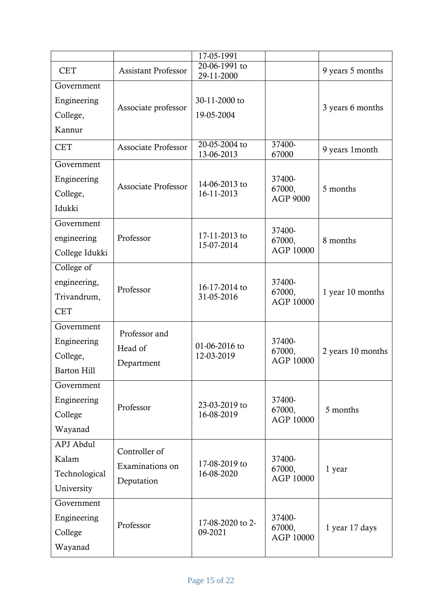|                |                            | 17-05-1991                  |                           |                   |
|----------------|----------------------------|-----------------------------|---------------------------|-------------------|
| <b>CET</b>     | <b>Assistant Professor</b> | 20-06-1991 to<br>29-11-2000 |                           | 9 years 5 months  |
| Government     |                            |                             |                           |                   |
| Engineering    | Associate professor        | 30-11-2000 to               |                           |                   |
| College,       |                            | 19-05-2004                  |                           | 3 years 6 months  |
| Kannur         |                            |                             |                           |                   |
| <b>CET</b>     | <b>Associate Professor</b> | 20-05-2004 to<br>13-06-2013 | 37400-<br>67000           | 9 years 1 month   |
| Government     |                            |                             |                           |                   |
| Engineering    |                            | 14-06-2013 to               | 37400-                    |                   |
| College,       | <b>Associate Professor</b> | 16-11-2013                  | 67000,<br><b>AGP 9000</b> | 5 months          |
| Idukki         |                            |                             |                           |                   |
| Government     |                            |                             | 37400-                    |                   |
| engineering    | Professor                  | 17-11-2013 to               | 67000,                    | 8 months          |
| College Idukki |                            | 15-07-2014                  | AGP 10000                 |                   |
| College of     |                            |                             |                           |                   |
| engineering,   | Professor                  | 16-17-2014 to               | 37400-                    |                   |
| Trivandrum,    |                            | 31-05-2016                  | 67000,<br>AGP 10000       | 1 year 10 months  |
| <b>CET</b>     |                            |                             |                           |                   |
| Government     | Professor and              |                             |                           |                   |
| Engineering    |                            | 01-06-2016 to               | 37400-                    |                   |
| College,       | Head of                    | 12-03-2019                  | 67000,<br>AGP 10000       | 2 years 10 months |
| Barton Hill    | Department                 |                             |                           |                   |
| Government     |                            |                             |                           |                   |
| Engineering    | Professor                  | 23-03-2019 to               | 37400-                    |                   |
| College        |                            | 16-08-2019                  | 67000,<br>AGP 10000       | 5 months          |
| Wayanad        |                            |                             |                           |                   |
| APJ Abdul      | Controller of              |                             |                           |                   |
| Kalam          | Examinations on            | 17-08-2019 to               | 37400-                    |                   |
| Technological  | Deputation                 | 16-08-2020                  | 67000,<br>AGP 10000       | 1 year            |
| University     |                            |                             |                           |                   |
| Government     |                            |                             |                           |                   |
| Engineering    | Professor                  | 17-08-2020 to 2-            | 37400-                    |                   |
| College        |                            | 09-2021                     | 67000,<br>AGP 10000       | 1 year 17 days    |
| Wayanad        |                            |                             |                           |                   |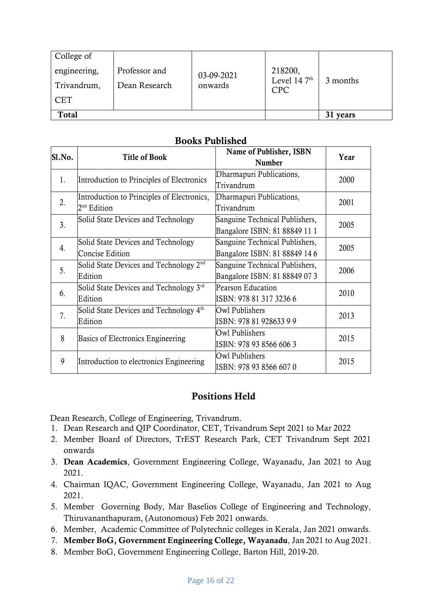| College of   |               |            |                              |          |
|--------------|---------------|------------|------------------------------|----------|
| engineering, | Professor and | 03-09-2021 | 218200,                      |          |
| Trivandrum,  | Dean Research | onwards    | Level 14 $7th$<br><b>CPC</b> | 3 months |
| <b>CET</b>   |               |            |                              |          |
| Total        |               |            | 31 years                     |          |

## **Books Published**

| Sl.No. | <b>Title of Book</b>                                          | Name of Publisher, ISBN<br><b>Number</b>                        | Year |
|--------|---------------------------------------------------------------|-----------------------------------------------------------------|------|
| 1.     | Introduction to Principles of Electronics                     | Dharmapuri Publications,<br>Trivandrum                          | 2000 |
| 2.     | Introduction to Principles of Electronics,<br>$2nd$ Edition   | Dharmapuri Publications,<br>Trivandrum                          | 2001 |
| 3.     | Solid State Devices and Technology                            | Sanguine Technical Publishers,<br>Bangalore ISBN: 81 88849 11 1 | 2005 |
| 4.     | Solid State Devices and Technology<br><b>Concise Edition</b>  | Sanguine Technical Publishers,<br>Bangalore ISBN: 81 88849 14 6 | 2005 |
| 5.     | Solid State Devices and Technology 2 <sup>nd</sup><br>Edition | Sanguine Technical Publishers,<br>Bangalore ISBN: 81 88849 07 3 | 2006 |
| 6.     | Solid State Devices and Technology 3rd<br>Edition             | Pearson Education<br>ISBN: 978 81 317 3236 6                    | 2010 |
| 7.     | Solid State Devices and Technology 4 <sup>th</sup><br>Edition | Owl Publishers<br>ISBN: 978 81 928633 9 9                       | 2013 |
| 8      | Basics of Electronics Engineering                             | Owl Publishers<br>ISBN: 978 93 8566 606 3                       | 2015 |
| 9      | Introduction to electronics Engineering                       | Owl Publishers<br>ISBN: 978 93 8566 607 0                       | 2015 |

## **Positions Held**

Dean Research, College of Engineering, Trivandrum.

- 1. Dean Research and QIP Coordinator, CET, Trivandrum Sept 2021 to Mar 2022
- 2. Member Board of Directors, TrEST Research Park, CET Trivandrum Sept 2021 onwards
- 3. **Dean Academics**, Government Engineering College, Wayanadu, Jan 2021 to Aug 2021.
- 4. Chairman IQAC, Government Engineering College, Wayanadu, Jan 2021 to Aug 2021.
- 5. Member Governing Body, Mar Baselios College of Engineering and Technology, Thiruvananthapuram, (Autonomous) Feb 2021 onwards.
- 6. Member, Academic Committee of Polytechnic colleges in Kerala, Jan 2021 onwards.
- 7. **Member BoG, Government Engineering College, Wayanadu**, Jan 2021 to Aug 2021.
- 8. Member BoG, Government Engineering College, Barton Hill, 2019-20.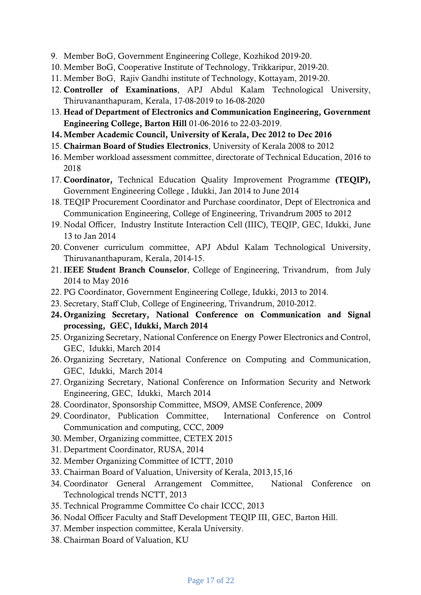- 9. Member BoG, Government Engineering College, Kozhikod 2019-20.
- 10. Member BoG, Cooperative Institute of Technology, Trikkaripur, 2019-20.
- 11. Member BoG, Rajiv Gandhi institute of Technology, Kottayam, 2019-20.
- 12. **Controller of Examinations**, APJ Abdul Kalam Technological University, Thiruvananthapuram, Kerala, 17-08-2019 to 16-08-2020
- 13. **Head of Department of Electronics and Communication Engineering, Government Engineering College, Barton Hill** 01-06-2016 to 22-03-2019.
- **14.Member Academic Council, University of Kerala, Dec 2012 to Dec 2016**
- 15. **Chairman Board of Studies Electronics**, University of Kerala 2008 to 2012
- 16. Member workload assessment committee, directorate of Technical Education, 2016 to 2018
- 17. **Coordinator,** Technical Education Quality Improvement Programme **(TEQIP),** Government Engineering College , Idukki, Jan 2014 to June 2014
- 18. TEQIP Procurement Coordinator and Purchase coordinator, Dept of Electronica and Communication Engineering, College of Engineering, Trivandrum 2005 to 2012
- 19. Nodal Officer, Industry Institute Interaction Cell (IIIC), TEQIP, GEC, Idukki, June 13 to Jan 2014
- 20. Convener curriculum committee, APJ Abdul Kalam Technological University, Thiruvananthapuram, Kerala, 2014-15.
- 21. **IEEE Student Branch Counselor**, College of Engineering, Trivandrum, from July 2014 to May 2016
- 22. PG Coordinator, Government Engineering College, Idukki, 2013 to 2014.
- 23. Secretary, Staff Club, College of Engineering, Trivandrum, 2010-2012.
- **24. Organizing Secretary, National Conference on Communication and Signal processing, GEC, Idukki, March 2014**
- 25. Organizing Secretary, National Conference on Energy Power Electronics and Control, GEC, Idukki, March 2014
- 26. Organizing Secretary, National Conference on Computing and Communication, GEC, Idukki, March 2014
- 27. Organizing Secretary, National Conference on Information Security and Network Engineering, GEC, Idukki, March 2014
- 28. Coordinator, Sponsorship Committee, MSO9, AMSE Conference, 2009
- 29. Coordinator, Publication Committee, International Conference on Control Communication and computing, CCC, 2009
- 30. Member, Organizing committee, CETEX 2015
- 31. Department Coordinator, RUSA, 2014
- 32. Member Organizing Committee of ICTT, 2010
- 33. Chairman Board of Valuation, University of Kerala, 2013,15,16
- 34. Coordinator General Arrangement Committee, National Conference on Technological trends NCTT, 2013
- 35. Technical Programme Committee Co chair ICCC, 2013
- 36. Nodal Officer Faculty and Staff Development TEQIP III, GEC, Barton Hill.
- 37. Member inspection committee, Kerala University.
- 38. Chairman Board of Valuation, KU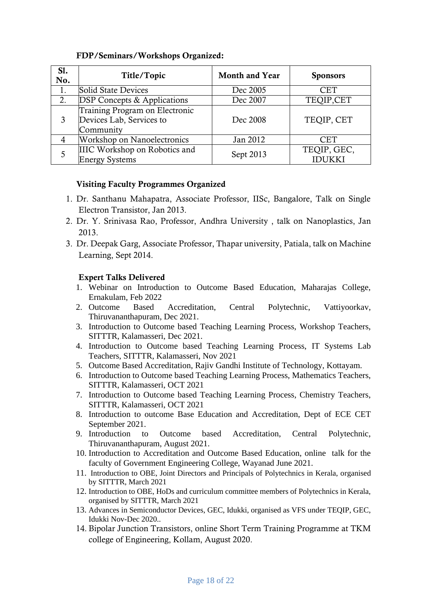#### **FDP/Seminars/Workshops Organized:**

| S1.<br>No. | Title/Topic                                                             | <b>Month and Year</b> | <b>Sponsors</b>       |
|------------|-------------------------------------------------------------------------|-----------------------|-----------------------|
| 1.         | Solid State Devices                                                     | Dec 2005              | CET                   |
| 2.         | <b>DSP Concepts &amp; Applications</b>                                  | Dec 2007              | TEQIP,CET             |
| 3          | Training Program on Electronic<br>Devices Lab, Services to<br>Community | Dec 2008              | TEQIP, CET            |
| 4          | <b>Workshop on Nanoelectronics</b>                                      | Jan 2012              | <b>CET</b>            |
|            | IIIC Workshop on Robotics and<br><b>Energy Systems</b>                  | Sept 2013             | TEQIP, GEC,<br>IDUKKI |

#### **Visiting Faculty Programmes Organized**

- 1. Dr. Santhanu Mahapatra, Associate Professor, IISc, Bangalore, Talk on Single Electron Transistor, Jan 2013.
- 2. Dr. Y. Srinivasa Rao, Professor, Andhra University , talk on Nanoplastics, Jan 2013.
- 3. Dr. Deepak Garg, Associate Professor, Thapar university, Patiala, talk on Machine Learning, Sept 2014.

#### **Expert Talks Delivered**

- 1. Webinar on Introduction to Outcome Based Education, Maharajas College, Ernakulam, Feb 2022
- 2. Outcome Based Accreditation, Central Polytechnic, Vattiyoorkav, Thiruvananthapuram, Dec 2021.
- 3. Introduction to Outcome based Teaching Learning Process, Workshop Teachers, SITTTR, Kalamasseri, Dec 2021.
- 4. Introduction to Outcome based Teaching Learning Process, IT Systems Lab Teachers, SITTTR, Kalamasseri, Nov 2021
- 5. Outcome Based Accreditation, Rajiv Gandhi Institute of Technology, Kottayam.
- 6. Introduction to Outcome based Teaching Learning Process, Mathematics Teachers, SITTTR, Kalamasseri, OCT 2021
- 7. Introduction to Outcome based Teaching Learning Process, Chemistry Teachers, SITTTR, Kalamasseri, OCT 2021
- 8. Introduction to outcome Base Education and Accreditation, Dept of ECE CET September 2021.
- 9. Introduction to Outcome based Accreditation, Central Polytechnic, Thiruvananthapuram, August 2021.
- 10. Introduction to Accreditation and Outcome Based Education, online talk for the faculty of Government Engineering College, Wayanad June 2021.
- 11. Introduction to OBE, Joint Directors and Principals of Polytechnics in Kerala, organised by SITTTR, March 2021
- 12. Introduction to OBE, HoDs and curriculum committee members of Polytechnics in Kerala, organised by SITTTR, March 2021
- 13. Advances in Semiconductor Devices, GEC, Idukki, organised as VFS under TEQIP, GEC, Idukki Nov-Dec 2020..
- 14. Bipolar Junction Transistors, online Short Term Training Programme at TKM college of Engineering, Kollam, August 2020.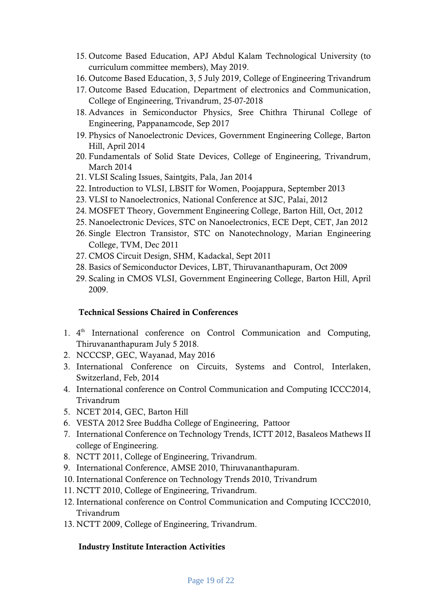- 15. Outcome Based Education, APJ Abdul Kalam Technological University (to curriculum committee members), May 2019.
- 16. Outcome Based Education, 3, 5 July 2019, College of Engineering Trivandrum
- 17. Outcome Based Education, Department of electronics and Communication, College of Engineering, Trivandrum, 25-07-2018
- 18. Advances in Semiconductor Physics, Sree Chithra Thirunal College of Engineering, Pappanamcode, Sep 2017
- 19. Physics of Nanoelectronic Devices, Government Engineering College, Barton Hill, April 2014
- 20. Fundamentals of Solid State Devices, College of Engineering, Trivandrum, March 2014
- 21. VLSI Scaling Issues, Saintgits, Pala, Jan 2014
- 22. Introduction to VLSI, LBSIT for Women, Poojappura, September 2013
- 23. VLSI to Nanoelectronics, National Conference at SJC, Palai, 2012
- 24. MOSFET Theory, Government Engineering College, Barton Hill, Oct, 2012
- 25. Nanoelectronic Devices, STC on Nanoelectronics, ECE Dept, CET, Jan 2012
- 26. Single Electron Transistor, STC on Nanotechnology, Marian Engineering College, TVM, Dec 2011
- 27. CMOS Circuit Design, SHM, Kadackal, Sept 2011
- 28. Basics of Semiconductor Devices, LBT, Thiruvananthapuram, Oct 2009
- 29. Scaling in CMOS VLSI, Government Engineering College, Barton Hill, April 2009.

#### **Technical Sessions Chaired in Conferences**

- 1. 4<sup>th</sup> International conference on Control Communication and Computing, Thiruvananthapuram July 5 2018.
- 2. NCCCSP, GEC, Wayanad, May 2016
- 3. International Conference on Circuits, Systems and Control, Interlaken, Switzerland, Feb, 2014
- 4. International conference on Control Communication and Computing ICCC2014, Trivandrum
- 5. NCET 2014, GEC, Barton Hill
- 6. VESTA 2012 Sree Buddha College of Engineering, Pattoor
- 7. International Conference on Technology Trends, ICTT 2012, Basaleos Mathews II college of Engineering.
- 8. NCTT 2011, College of Engineering, Trivandrum.
- 9. International Conference, AMSE 2010, Thiruvananthapuram.
- 10. International Conference on Technology Trends 2010, Trivandrum
- 11. NCTT 2010, College of Engineering, Trivandrum.
- 12. International conference on Control Communication and Computing ICCC2010, Trivandrum
- 13. NCTT 2009, College of Engineering, Trivandrum.

#### **Industry Institute Interaction Activities**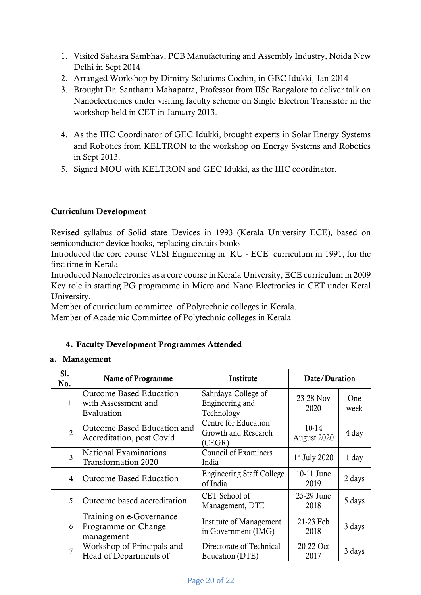- 1. Visited Sahasra Sambhav, PCB Manufacturing and Assembly Industry, Noida New Delhi in Sept 2014
- 2. Arranged Workshop by Dimitry Solutions Cochin, in GEC Idukki, Jan 2014
- 3. Brought Dr. Santhanu Mahapatra, Professor from IISc Bangalore to deliver talk on Nanoelectronics under visiting faculty scheme on Single Electron Transistor in the workshop held in CET in January 2013.
- 4. As the IIIC Coordinator of GEC Idukki, brought experts in Solar Energy Systems and Robotics from KELTRON to the workshop on Energy Systems and Robotics in Sept 2013.
- 5. Signed MOU with KELTRON and GEC Idukki, as the IIIC coordinator.

## **Curriculum Development**

Revised syllabus of Solid state Devices in 1993 (Kerala University ECE), based on semiconductor device books, replacing circuits books

Introduced the core course VLSI Engineering in KU - ECE curriculum in 1991, for the first time in Kerala

Introduced Nanoelectronics as a core course in Kerala University, ECE curriculum in 2009 Key role in starting PG programme in Micro and Nano Electronics in CET under Keral University.

Member of curriculum committee of Polytechnic colleges in Kerala.

Member of Academic Committee of Polytechnic colleges in Kerala

## **4. Faculty Development Programmes Attended**

#### **a. Management**

| SI.<br>No.     | Name of Programme                                                   | Institute                                             | Date/Duration          |             |
|----------------|---------------------------------------------------------------------|-------------------------------------------------------|------------------------|-------------|
| 1              | <b>Outcome Based Education</b><br>with Assessment and<br>Evaluation | Sahrdaya College of<br>Engineering and<br>Technology  | 23-28 Nov<br>2020      | One<br>week |
| $\overline{2}$ | Outcome Based Education and<br>Accreditation, post Covid            | Centre for Education<br>Growth and Research<br>(CEGR) | $10-14$<br>August 2020 | 4 day       |
| 3              | National Examinations<br><b>Transformation 2020</b>                 | Council of Examiners<br>India                         | $1st$ July 2020        | 1 day       |
| 4              | <b>Outcome Based Education</b>                                      | <b>Engineering Staff College</b><br>of India          | 10-11 June<br>2019     | 2 days      |
| 5              | Outcome based accreditation                                         | CET School of<br>Management, DTE                      | 25-29 June<br>2018     | 5 days      |
| 6              | Training on e-Governance<br>Programme on Change<br>management       | Institute of Management<br>in Government (IMG)        | 21-23 Feb<br>2018      | 3 days      |
| $\overline{7}$ | Workshop of Principals and<br>Head of Departments of                | Directorate of Technical<br>Education (DTE)           | 20-22 Oct<br>2017      | 3 days      |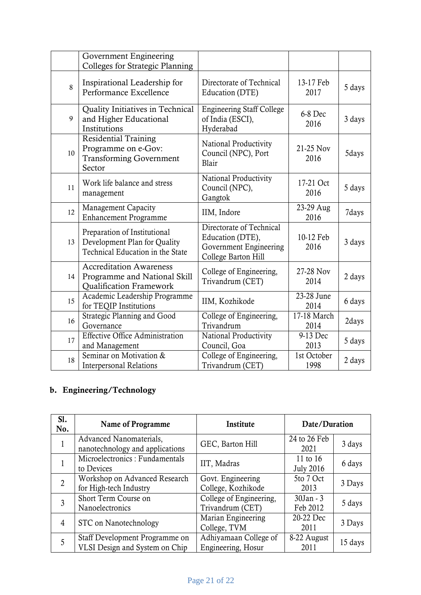|    | Government Engineering<br>Colleges for Strategic Planning                                        |                                                                                               |                     |        |
|----|--------------------------------------------------------------------------------------------------|-----------------------------------------------------------------------------------------------|---------------------|--------|
| 8  | Inspirational Leadership for<br>Performance Excellence                                           | Directorate of Technical<br>Education (DTE)                                                   | 13-17 Feb<br>2017   | 5 days |
| 9  | Quality Initiatives in Technical<br>and Higher Educational<br>Institutions                       | <b>Engineering Staff College</b><br>of India (ESCI),<br>Hyderabad                             | 6-8 Dec<br>2016     | 3 days |
| 10 | <b>Residential Training</b><br>Programme on e-Gov:<br><b>Transforming Government</b><br>Sector   | National Productivity<br>Council (NPC), Port<br>Blair                                         | 21-25 Nov<br>2016   | 5days  |
| 11 | Work life balance and stress<br>management                                                       | National Productivity<br>Council (NPC),<br>Gangtok                                            | 17-21 Oct<br>2016   | 5 days |
| 12 | <b>Management Capacity</b><br><b>Enhancement Programme</b>                                       | IIM, Indore                                                                                   | 23-29 Aug<br>2016   | 7days  |
| 13 | Preparation of Institutional<br>Development Plan for Quality<br>Technical Education in the State | Directorate of Technical<br>Education (DTE),<br>Government Engineering<br>College Barton Hill | 10-12 Feb<br>2016   | 3 days |
| 14 | <b>Accreditation Awareness</b><br>Programme and National Skill<br><b>Qualification Framework</b> | College of Engineering,<br>Trivandrum (CET)                                                   | 27-28 Nov<br>2014   | 2 days |
| 15 | Academic Leadership Programme<br>for TEQIP Institutions                                          | IIM, Kozhikode                                                                                | 23-28 June<br>2014  | 6 days |
| 16 | Strategic Planning and Good<br>Governance                                                        | College of Engineering,<br>Trivandrum                                                         | 17-18 March<br>2014 | 2days  |
| 17 | <b>Effective Office Administration</b><br>and Management                                         | National Productivity<br>Council, Goa                                                         | 9-13 Dec<br>2013    | 5 days |
| 18 | Seminar on Motivation &<br><b>Interpersonal Relations</b>                                        | College of Engineering,<br>Trivandrum (CET)                                                   | 1st October<br>1998 | 2 days |

# **b. Engineering/Technology**

| SI.<br>No.     | Name of Programme                                                 | Institute               | Date/Duration    |         |
|----------------|-------------------------------------------------------------------|-------------------------|------------------|---------|
| 1              | Advanced Nanomaterials,                                           | GEC, Barton Hill        | 24 to 26 Feb     | 3 days  |
|                | nanotechnology and applications<br>Microelectronics: Fundamentals |                         | 2021<br>11 to 16 |         |
|                | to Devices                                                        | IIT, Madras             | <b>July 2016</b> | 6 days  |
| $\overline{2}$ | Workshop on Advanced Research                                     | Govt. Engineering       | 5to 7 Oct        | 3 Days  |
|                | for High-tech Industry                                            | College, Kozhikode      | 2013             |         |
| 3              | Short Term Course on                                              | College of Engineering, | 30Jan - 3        | 5 days  |
|                | Nanoelectronics                                                   | Trivandrum (CET)        | Feb 2012         |         |
| 4              | STC on Nanotechnology                                             | Marian Engineering      | 20-22 Dec        | 3 Days  |
|                |                                                                   | College, TVM            | 2011             |         |
| 5              | Staff Development Programme on                                    | Adhiyamaan College of   | 8-22 August      | 15 days |
|                | VLSI Design and System on Chip                                    | Engineering, Hosur      | 2011             |         |